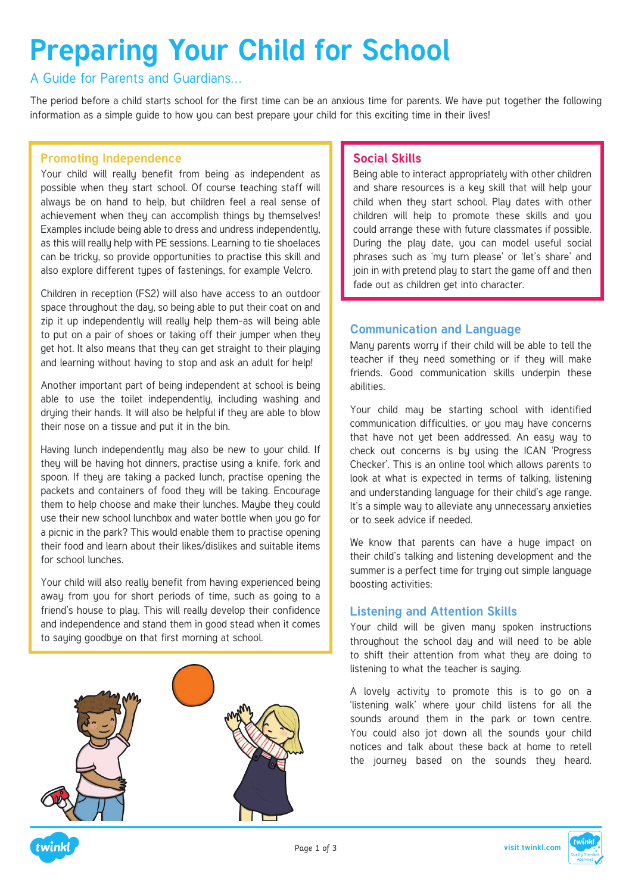# **Preparing Your Child for School**

A Guide for Parents and Guardians…

The period before a child starts school for the first time can be an anxious time for parents. We have put together the following information as a simple guide to how you can best prepare your child for this exciting time in their lives!

### **Promoting Independence**

Your child will really benefit from being as independent as possible when they start school. Of course teaching staff will always be on hand to help, but children feel a real sense of achievement when they can accomplish things by themselves! Examples include being able to dress and undress independently, as this will really help with PE sessions. Learning to tie shoelaces can be tricky, so provide opportunities to practise this skill and also explore different types of fastenings, for example Velcro.

Children in reception (FS2) will also have access to an outdoor space throughout the day, so being able to put their coat on and zip it up independently will really help them-as will being able to put on a pair of shoes or taking off their jumper when they get hot. It also means that they can get straight to their playing and learning without having to stop and ask an adult for help!

Another important part of being independent at school is being able to use the toilet independently, including washing and drying their hands. It will also be helpful if they are able to blow their nose on a tissue and put it in the bin.

Having lunch independently may also be new to your child. If they will be having hot dinners, practise using a knife, fork and spoon. If they are taking a packed lunch, practise opening the packets and containers of food they will be taking. Encourage them to help choose and make their lunches. Maybe they could use their new school lunchbox and water bottle when you go for a picnic in the park? This would enable them to practise opening their food and learn about their likes/dislikes and suitable items for school lunches.

Your child will also really benefit from having experienced being away from you for short periods of time, such as going to a friend's house to play. This will really develop their confidence and independence and stand them in good stead when it comes to saying goodbye on that first morning at school.

# **Social Skills**

Being able to interact appropriately with other children and share resources is a key skill that will help your child when they start school. Play dates with other children will help to promote these skills and you could arrange these with future classmates if possible. During the play date, you can model useful social phrases such as 'my turn please' or 'let's share' and join in with pretend play to start the game off and then fade out as children get into character.

# **Communication and Language**

Many parents worry if their child will be able to tell the teacher if they need something or if they will make friends. Good communication skills underpin these abilities.

Your child may be starting school with identified communication difficulties, or you may have concerns that have not yet been addressed. An easy way to check out concerns is by using the ICAN 'Progress Checker'. This is an online tool which allows parents to look at what is expected in terms of talking, listening and understanding language for their child's age range. It's a simple way to alleviate any unnecessary anxieties or to seek advice if needed.

We know that parents can have a huge impact on their child's talking and listening development and the summer is a perfect time for trying out simple language boosting activities:

# **Listening and Attention Skills**

Your child will be given many spoken instructions throughout the school day and will need to be able to shift their attention from what they are doing to listening to what the teacher is sauing.

A lovely activity to promote this is to go on a 'listening walk' where your child listens for all the sounds around them in the park or town centre. You could also jot down all the sounds your child notices and talk about these back at home to retell the journey based on the sounds they heard.



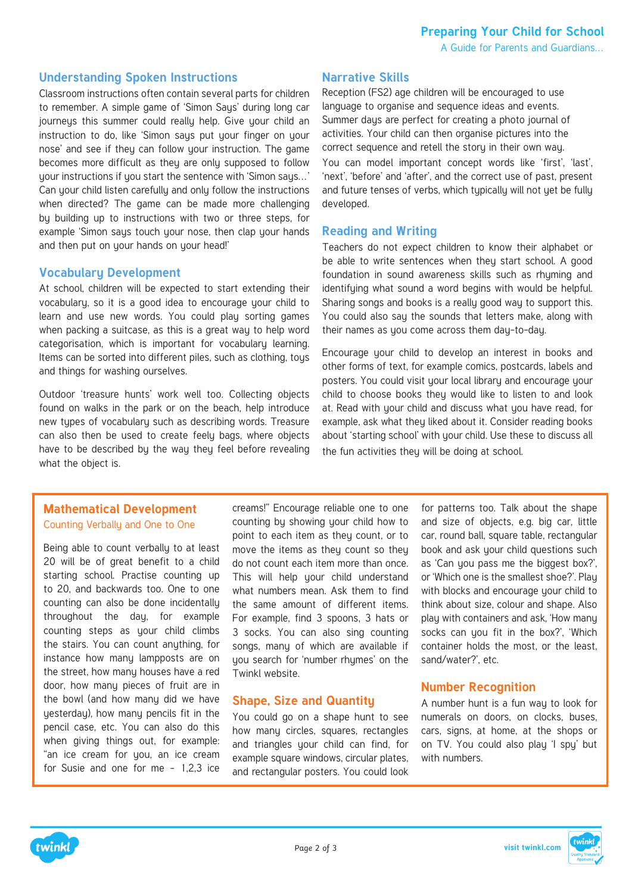## **Understanding Spoken Instructions**

Classroom instructions often contain several parts for children to remember. A simple game of 'Simon Says' during long car journeys this summer could really help. Give your child an instruction to do, like 'Simon saus put your finger on your nose' and see if they can follow your instruction. The game becomes more difficult as they are only supposed to follow your instructions if you start the sentence with 'Simon says…' Can your child listen carefully and only follow the instructions when directed? The game can be made more challenging by building up to instructions with two or three steps, for example 'Simon says touch your nose, then clap your hands and then put on your hands on your head!'

#### **Vocabulary Development**

At school, children will be expected to start extending their vocabulary, so it is a good idea to encourage your child to learn and use new words. You could play sorting games when packing a suitcase, as this is a great way to help word categorisation, which is important for vocabulary learning. Items can be sorted into different piles, such as clothing, tous and things for washing ourselves.

Outdoor 'treasure hunts' work well too. Collecting objects found on walks in the park or on the beach, help introduce new types of vocabulary such as describing words. Treasure can also then be used to create feely bags, where objects have to be described by the way they feel before revealing what the object is.

#### **Narrative Skills**

Reception (FS2) age children will be encouraged to use language to organise and sequence ideas and events. Summer days are perfect for creating a photo journal of activities. Your child can then organise pictures into the correct sequence and retell the story in their own way. You can model important concept words like 'first', 'last', 'next', 'before' and 'after', and the correct use of past, present and future tenses of verbs, which typically will not yet be fully developed.

#### **Reading and Writing**

Teachers do not expect children to know their alphabet or be able to write sentences when they start school. A good foundation in sound awareness skills such as rhyming and identifying what sound a word begins with would be helpful. Sharing songs and books is a really good way to support this. You could also say the sounds that letters make, along with their names as you come across them day-to-day.

Encourage your child to develop an interest in books and other forms of text, for example comics, postcards, labels and posters. You could visit your local library and encourage your child to choose books they would like to listen to and look at. Read with your child and discuss what you have read, for example, ask what they liked about it. Consider reading books about 'starting school' with your child. Use these to discuss all the fun activities they will be doing at school.

## **Mathematical Development** Counting Verbally and One to One

Being able to count verbally to at least 20 will be of great benefit to a child starting school. Practise counting up to 20, and backwards too. One to one counting can also be done incidentally throughout the day, for example counting steps as your child climbs the stairs. You can count anything, for instance how many lampposts are on the street, how many houses have a red door, how many pieces of fruit are in the bowl (and how many did we have yesterday), how many pencils fit in the pencil case, etc. You can also do this when giving things out, for example: "an ice cream for you, an ice cream for Susie and one for me – 1,2,3 ice

creams!" Encourage reliable one to one counting by showing your child how to point to each item as they count, or to move the items as they count so they do not count each item more than once. This will help your child understand what numbers mean. Ask them to find the same amount of different items. For example, find 3 spoons, 3 hats or 3 socks. You can also sing counting songs, many of which are available if you search for 'number rhumes' on the Twinkl website.

#### **Shape, Size and Quantity**

You could go on a shape hunt to see how many circles, squares, rectangles and triangles your child can find, for example square windows, circular plates, and rectangular posters. You could look for patterns too. Talk about the shape and size of objects, e.g. big car, little car, round ball, square table, rectangular book and ask your child questions such as 'Can you pass me the biggest box?', or 'Which one is the smallest shoe?'. Play with blocks and encourage your child to think about size, colour and shape. Also play with containers and ask, 'How many socks can you fit in the box?', 'Which container holds the most, or the least, sand/water?', etc.

#### **Number Recognition**

A number hunt is a fun way to look for numerals on doors, on clocks, buses, cars, signs, at home, at the shops or on TV. You could also play 'I spy' but with numbers.